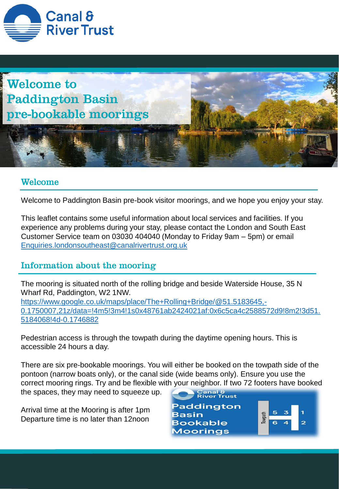



# **Welcome**

Welcome to Paddington Basin pre-book visitor moorings, and we hope you enjoy your stay.

This leaflet contains some useful information about local services and facilities. If you experience any problems during your stay, please contact the London and South East Customer Service team on 03030 404040 (Monday to Friday 9am – 5pm) or email [Enquiries.londonsoutheast@canalrivertrust.org.uk](mailto:Enquiries.london@canalrivertrust.org.uk)

# Information about the mooring

The mooring is situated north of the rolling bridge and beside Waterside House, 35 N Wharf Rd, Paddington, W2 1NW. https://www.google.co.uk/maps/place/The+Rolling+Bridge/@51.5183645,- [0.1750007,21z/data=!4m5!3m4!1s0x48761ab2424021af:0x6c5ca4c2588572d9!8m2!3d51.](https://www.google.co.uk/maps/place/The+Rolling+Bridge/@51.5183645,-0.1750007,21z/data=!4m5!3m4!1s0x48761ab2424021af:0x6c5ca4c2588572d9!8m2!3d51.5184068!4d-0.1746882) 5184068!4d-0.1746882

Pedestrian access is through the towpath during the daytime opening hours. This is accessible 24 hours a day.

There are six pre-bookable moorings. You will either be booked on the towpath side of the pontoon (narrow boats only), or the canal side (wide beams only). Ensure you use the correct mooring rings. Try and be flexible with your neighbor. If two 72 footers have booked

the spaces, they may need to squeeze up.

Arrival time at the Mooring is after 1pm Departure time is no later than 12noon

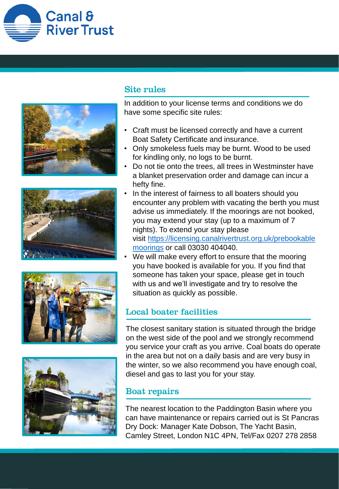









## **Site rules**

In addition to your license terms and conditions we do have some specific site rules:

- Craft must be licensed correctly and have a current Boat Safety Certificate and insurance.
- Only smokeless fuels may be burnt. Wood to be used for kindling only, no logs to be burnt.
- Do not tie onto the trees, all trees in Westminster have a blanket preservation order and damage can incur a hefty fine.
- In the interest of fairness to all boaters should you encounter any problem with vacating the berth you must advise us immediately. If the moorings are not booked, you may extend your stay (up to a maximum of 7 nights). To extend your stay please visit [https://licensing.canalrivertrust.org.uk/prebookable](https://licensing.canalrivertrust.org.uk/prebookablemoorings) moorings or call 03030 404040.
- We will make every effort to ensure that the mooring you have booked is available for you. If you find that someone has taken your space, please get in touch with us and we'll investigate and try to resolve the situation as quickly as possible.

# **Local boater facilities**

The closest sanitary station is situated through the bridge on the west side of the pool and we strongly recommend you service your craft as you arrive. Coal boats do operate in the area but not on a daily basis and are very busy in the winter, so we also recommend you have enough coal, diesel and gas to last you for your stay.

## **Boat repairs**

The nearest location to the Paddington Basin where you can have maintenance or repairs carried out is St Pancras Dry Dock: Manager Kate Dobson, The Yacht Basin, Camley Street, London N1C 4PN, Tel/Fax 0207 278 2858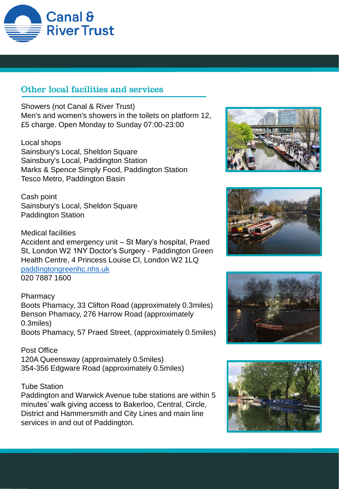

# Other local facilities and services

Showers (not Canal & River Trust) Men's and women's showers in the toilets on platform 12, £5 charge. Open Monday to Sunday 07:00-23:00

Local shops Sainsbury's Local, Sheldon Square Sainsbury's Local, Paddington Station Marks & Spence Simply Food, Paddington Station Tesco Metro, Paddington Basin

Cash point Sainsbury's Local, Sheldon Square Paddington Station

Medical facilities Accident and emergency unit – St Mary's hospital, Praed St, London W2 1NY Doctor's Surgery - Paddington Green Health Centre, 4 Princess Louise Cl, London W2 1LQ [paddingtongreenhc.nhs.uk](http://www.paddingtongreenhc.nhs.uk/) 020 7887 1600

### **Pharmacy**

Boots Phamacy, 33 Clifton Road (approximately 0.3miles) Benson Phamacy, 276 Harrow Road (approximately 0.3miles) Boots Phamacy, 57 Praed Street, (approximately 0.5miles)

Post Office 120A Queensway (approximately 0.5miles) 354-356 Edgware Road (approximately 0.5miles)

#### Tube Station

Paddington and Warwick Avenue tube stations are within 5 minutes' walk giving access to Bakerloo, Central, Circle, District and Hammersmith and City Lines and main line services in and out of Paddington.